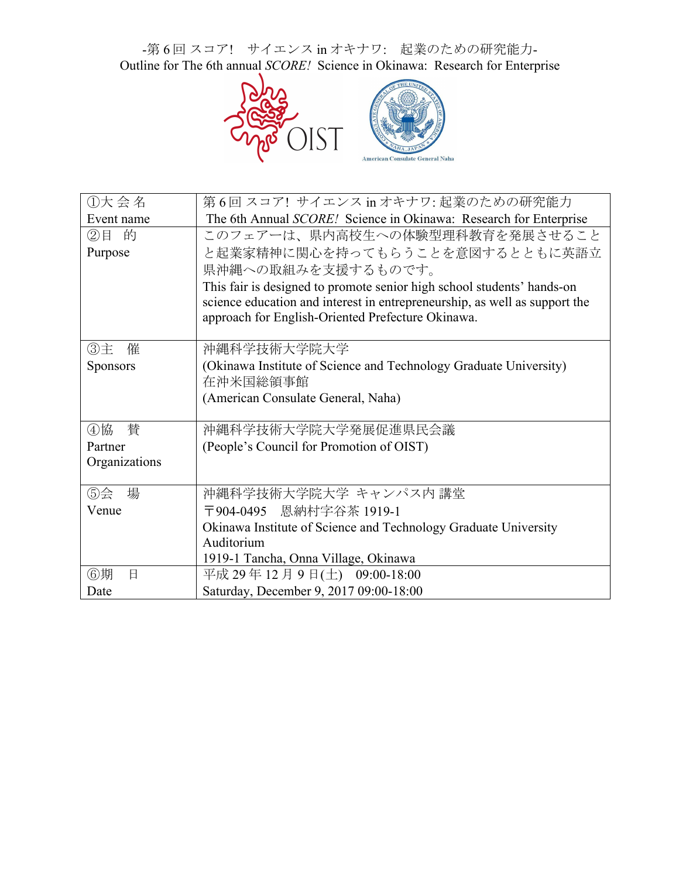-第6回スコア! サイエンス in オキナワ: 起業のための研究能力-Outline for The 6th annual *SCORE!* Science in Okinawa: Research for Enterprise



| ①大会名            | 第6回 スコア! サイエンス in オキナワ: 起業のための研究能力                                                                                              |  |  |  |
|-----------------|---------------------------------------------------------------------------------------------------------------------------------|--|--|--|
| Event name      | The 6th Annual SCORE! Science in Okinawa: Research for Enterprise                                                               |  |  |  |
| 的<br>②目         | このフェアーは、県内高校生への体験型理科教育を発展させること                                                                                                  |  |  |  |
| Purpose         | と起業家精神に関心を持ってもらうことを意図するとともに英語立                                                                                                  |  |  |  |
|                 | 県沖縄への取組みを支援するものです。                                                                                                              |  |  |  |
|                 | This fair is designed to promote senior high school students' hands-on                                                          |  |  |  |
|                 | science education and interest in entrepreneurship, as well as support the<br>approach for English-Oriented Prefecture Okinawa. |  |  |  |
|                 |                                                                                                                                 |  |  |  |
| ③主<br>催         | 沖縄科学技術大学院大学                                                                                                                     |  |  |  |
| <b>Sponsors</b> | (Okinawa Institute of Science and Technology Graduate University)                                                               |  |  |  |
|                 | 在沖米国総領事館                                                                                                                        |  |  |  |
|                 | (American Consulate General, Naha)                                                                                              |  |  |  |
|                 |                                                                                                                                 |  |  |  |
| 4協<br>替         | 沖縄科学技術大学院大学発展促進県民会議                                                                                                             |  |  |  |
| Partner         | (People's Council for Promotion of OIST)                                                                                        |  |  |  |
| Organizations   |                                                                                                                                 |  |  |  |
| ⑤会<br>場         | 沖縄科学技術大学院大学 キャンパス内 講堂                                                                                                           |  |  |  |
| Venue           | 〒904-0495 恩納村字谷茶 1919-1                                                                                                         |  |  |  |
|                 | Okinawa Institute of Science and Technology Graduate University                                                                 |  |  |  |
|                 | Auditorium                                                                                                                      |  |  |  |
|                 | 1919-1 Tancha, Onna Village, Okinawa                                                                                            |  |  |  |
| ⑥期<br>日         | 平成 29年12月9日(土) 09:00-18:00                                                                                                      |  |  |  |
| Date            | Saturday, December 9, 2017 09:00-18:00                                                                                          |  |  |  |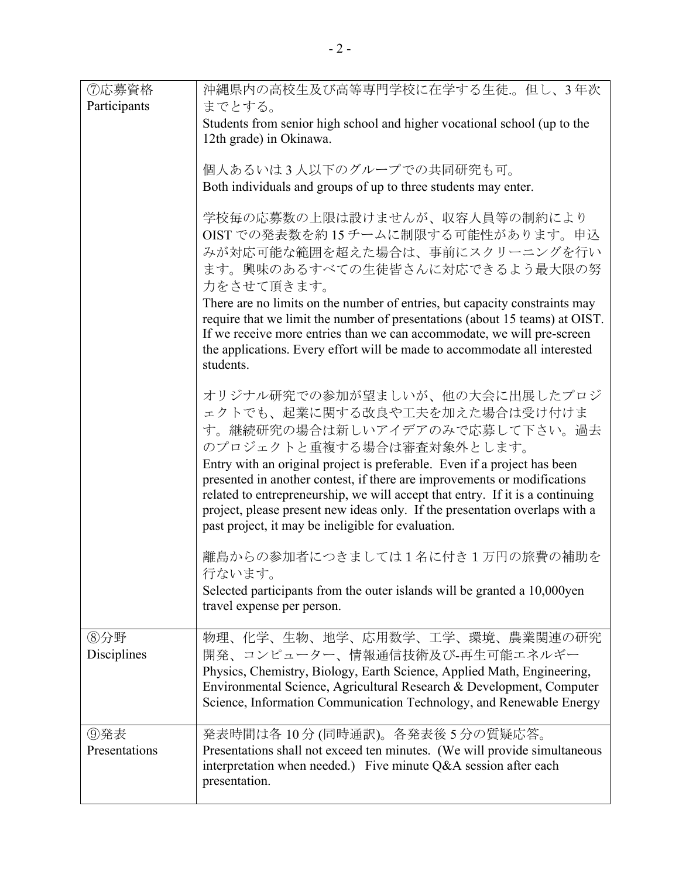| ⑦応募資格                | 沖縄県内の高校生及び高等専門学校に在学する生徒。但し、3年次                                                                                                                                                                                                                                                                                                                                                                                                                                                                               |  |  |  |
|----------------------|--------------------------------------------------------------------------------------------------------------------------------------------------------------------------------------------------------------------------------------------------------------------------------------------------------------------------------------------------------------------------------------------------------------------------------------------------------------------------------------------------------------|--|--|--|
| Participants         | までとする。                                                                                                                                                                                                                                                                                                                                                                                                                                                                                                       |  |  |  |
|                      | Students from senior high school and higher vocational school (up to the<br>12th grade) in Okinawa.                                                                                                                                                                                                                                                                                                                                                                                                          |  |  |  |
|                      | 個人あるいは3人以下のグループでの共同研究も可。<br>Both individuals and groups of up to three students may enter.                                                                                                                                                                                                                                                                                                                                                                                                                   |  |  |  |
|                      |                                                                                                                                                                                                                                                                                                                                                                                                                                                                                                              |  |  |  |
|                      | 学校毎の応募数の上限は設けませんが、収容人員等の制約により<br>OIST での発表数を約15チームに制限する可能性があります。申込<br>みが対応可能な範囲を超えた場合は、事前にスクリーニングを行い<br>ます。興味のあるすべての生徒皆さんに対応できるよう最大限の努<br>力をさせて頂きます。<br>There are no limits on the number of entries, but capacity constraints may<br>require that we limit the number of presentations (about 15 teams) at OIST.<br>If we receive more entries than we can accommodate, we will pre-screen<br>the applications. Every effort will be made to accommodate all interested<br>students.                        |  |  |  |
|                      | オリジナル研究での参加が望ましいが、他の大会に出展したプロジ<br>ェクトでも、起業に関する改良や工夫を加えた場合は受け付けま<br>す。継続研究の場合は新しいアイデアのみで応募して下さい。過去<br>のプロジェクトと重複する場合は審査対象外とします。<br>Entry with an original project is preferable. Even if a project has been<br>presented in another contest, if there are improvements or modifications<br>related to entrepreneurship, we will accept that entry. If it is a continuing<br>project, please present new ideas only. If the presentation overlaps with a<br>past project, it may be ineligible for evaluation. |  |  |  |
|                      | 離島からの参加者につきましては1名に付き1万円の旅費の補助を<br>行ないます。<br>Selected participants from the outer islands will be granted a 10,000yen<br>travel expense per person.                                                                                                                                                                                                                                                                                                                                                           |  |  |  |
| ⑧分野<br>Disciplines   | 物理、化学、生物、地学、応用数学、工学、環境、農業関連の研究<br>開発、コンピューター、情報通信技術及び-再生可能エネルギー<br>Physics, Chemistry, Biology, Earth Science, Applied Math, Engineering,<br>Environmental Science, Agricultural Research & Development, Computer<br>Science, Information Communication Technology, and Renewable Energy                                                                                                                                                                                                                     |  |  |  |
| ⑨発表<br>Presentations | 発表時間は各10分(同時通訳)。各発表後5分の質疑応答。<br>Presentations shall not exceed ten minutes. (We will provide simultaneous<br>interpretation when needed.) Five minute Q&A session after each<br>presentation.                                                                                                                                                                                                                                                                                                                |  |  |  |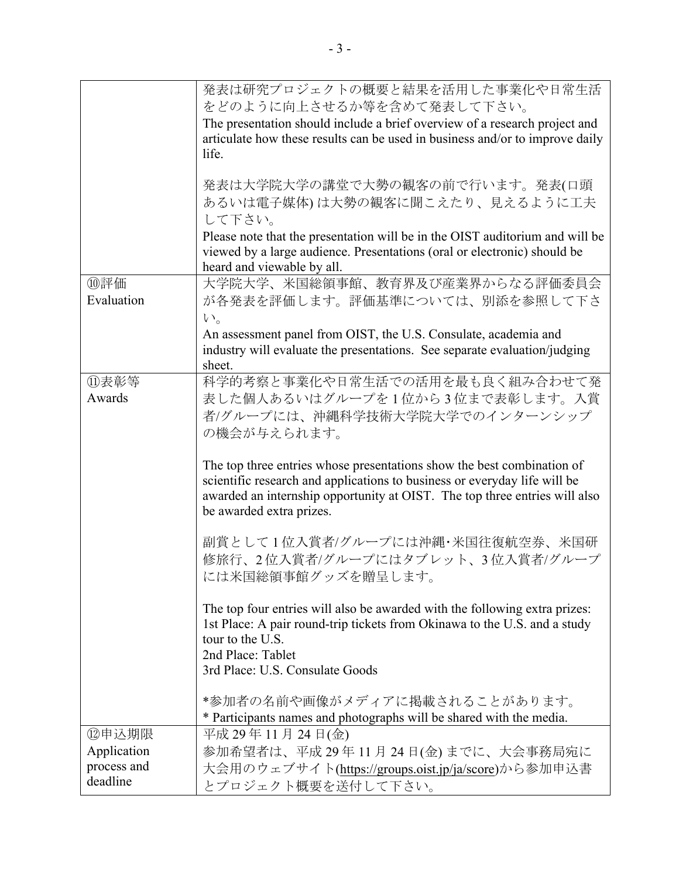|                         | 発表は研究プロジェクトの概要と結果を活用した事業化や日常生活                                                                                                                                      |  |  |  |  |
|-------------------------|---------------------------------------------------------------------------------------------------------------------------------------------------------------------|--|--|--|--|
|                         | をどのように向上させるか等を含めて発表して下さい。                                                                                                                                           |  |  |  |  |
|                         | The presentation should include a brief overview of a research project and<br>articulate how these results can be used in business and/or to improve daily<br>life. |  |  |  |  |
|                         |                                                                                                                                                                     |  |  |  |  |
|                         |                                                                                                                                                                     |  |  |  |  |
|                         |                                                                                                                                                                     |  |  |  |  |
|                         | 発表は大学院大学の講堂で大勢の観客の前で行います。発表(口頭                                                                                                                                      |  |  |  |  |
|                         | あるいは電子媒体)は大勢の観客に聞こえたり、見えるように工夫                                                                                                                                      |  |  |  |  |
|                         | して下さい。                                                                                                                                                              |  |  |  |  |
|                         | Please note that the presentation will be in the OIST auditorium and will be                                                                                        |  |  |  |  |
|                         | viewed by a large audience. Presentations (oral or electronic) should be                                                                                            |  |  |  |  |
|                         | heard and viewable by all.                                                                                                                                          |  |  |  |  |
| ⑩評価                     | 大学院大学、米国総領事館、教育界及び産業界からなる評価委員会                                                                                                                                      |  |  |  |  |
| Evaluation              | が各発表を評価します。評価基準については、別添を参照して下さ                                                                                                                                      |  |  |  |  |
|                         | $V_{0}$                                                                                                                                                             |  |  |  |  |
|                         | An assessment panel from OIST, the U.S. Consulate, academia and                                                                                                     |  |  |  |  |
|                         | industry will evaluate the presentations. See separate evaluation/judging                                                                                           |  |  |  |  |
|                         | sheet.                                                                                                                                                              |  |  |  |  |
| ⑪表彰等                    | 科学的考察と事業化や日常生活での活用を最も良く組み合わせて発                                                                                                                                      |  |  |  |  |
| Awards                  | 表した個人あるいはグループを1位から3位まで表彰します。入賞                                                                                                                                      |  |  |  |  |
|                         | 者/グループには、沖縄科学技術大学院大学でのインターンシップ                                                                                                                                      |  |  |  |  |
|                         | の機会が与えられます。                                                                                                                                                         |  |  |  |  |
|                         |                                                                                                                                                                     |  |  |  |  |
|                         | The top three entries whose presentations show the best combination of                                                                                              |  |  |  |  |
|                         | scientific research and applications to business or everyday life will be                                                                                           |  |  |  |  |
|                         | awarded an internship opportunity at OIST. The top three entries will also                                                                                          |  |  |  |  |
|                         | be awarded extra prizes.                                                                                                                                            |  |  |  |  |
|                         |                                                                                                                                                                     |  |  |  |  |
|                         | 副賞として1位入賞者/グループには沖縄・米国往復航空券、米国研                                                                                                                                     |  |  |  |  |
|                         | 修旅行、2位入賞者/グループにはタブレット、3位入賞者/グループ                                                                                                                                    |  |  |  |  |
|                         | には米国総領事館グッズを贈呈します。                                                                                                                                                  |  |  |  |  |
|                         |                                                                                                                                                                     |  |  |  |  |
|                         | The top four entries will also be awarded with the following extra prizes:                                                                                          |  |  |  |  |
|                         | 1st Place: A pair round-trip tickets from Okinawa to the U.S. and a study                                                                                           |  |  |  |  |
|                         | tour to the U.S.                                                                                                                                                    |  |  |  |  |
|                         | 2nd Place: Tablet                                                                                                                                                   |  |  |  |  |
|                         | 3rd Place: U.S. Consulate Goods                                                                                                                                     |  |  |  |  |
|                         | *参加者の名前や画像がメディアに掲載されることがあります。                                                                                                                                       |  |  |  |  |
|                         |                                                                                                                                                                     |  |  |  |  |
|                         | * Participants names and photographs will be shared with the media.                                                                                                 |  |  |  |  |
| ⑫申込期限                   | 平成 29年11月 24日(金)                                                                                                                                                    |  |  |  |  |
| Application             | 参加希望者は、平成29年11月24日(金)までに、大会事務局宛に                                                                                                                                    |  |  |  |  |
| process and<br>deadline | 大会用のウェブサイト(https://groups.oist.jp/ja/score)から参加申込書                                                                                                                  |  |  |  |  |
|                         | とプロジェクト概要を送付して下さい。                                                                                                                                                  |  |  |  |  |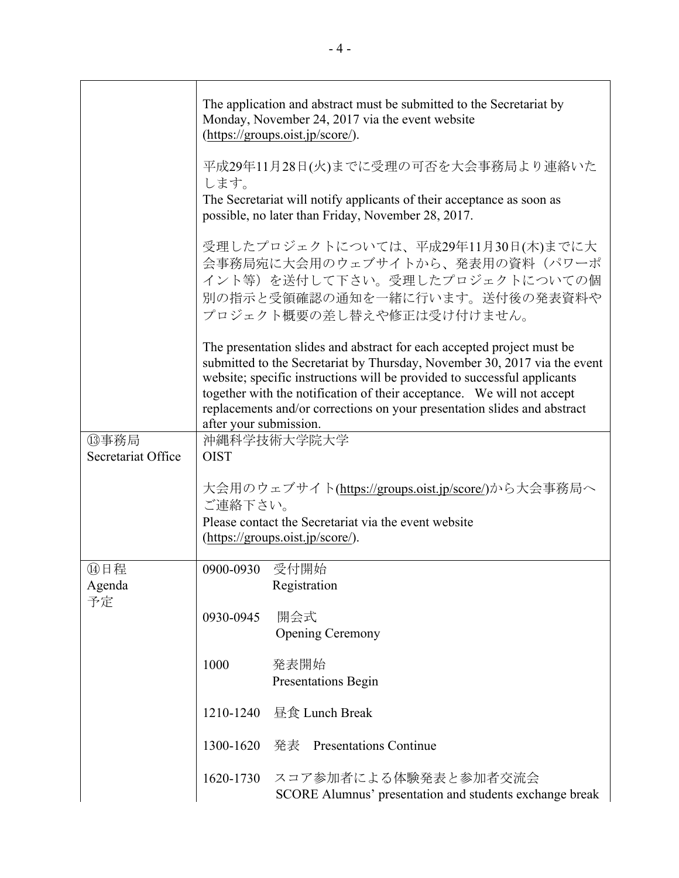|                     |                                                                                                                                                                                                                                                                                                                                                                                                                 | The application and abstract must be submitted to the Secretariat by<br>Monday, November 24, 2017 via the event website<br>(https://groups.oist.jp/score/).           |  |  |  |
|---------------------|-----------------------------------------------------------------------------------------------------------------------------------------------------------------------------------------------------------------------------------------------------------------------------------------------------------------------------------------------------------------------------------------------------------------|-----------------------------------------------------------------------------------------------------------------------------------------------------------------------|--|--|--|
|                     | 平成29年11月28日(火)までに受理の可否を大会事務局より連絡いた<br>します。<br>The Secretariat will notify applicants of their acceptance as soon as<br>possible, no later than Friday, November 28, 2017.                                                                                                                                                                                                                                       |                                                                                                                                                                       |  |  |  |
|                     |                                                                                                                                                                                                                                                                                                                                                                                                                 | 受理したプロジェクトについては、平成29年11月30日(木)までに大<br>会事務局宛に大会用のウェブサイトから、発表用の資料(パワーポ<br>イント等)を送付して下さい。受理したプロジェクトについての個<br>別の指示と受領確認の通知を一緒に行います。送付後の発表資料や<br>プロジェクト概要の差し替えや修正は受け付けません。 |  |  |  |
|                     | The presentation slides and abstract for each accepted project must be<br>submitted to the Secretariat by Thursday, November 30, 2017 via the event<br>website; specific instructions will be provided to successful applicants<br>together with the notification of their acceptance. We will not accept<br>replacements and/or corrections on your presentation slides and abstract<br>after your submission. |                                                                                                                                                                       |  |  |  |
| 13事務局               | 沖縄科学技術大学院大学                                                                                                                                                                                                                                                                                                                                                                                                     |                                                                                                                                                                       |  |  |  |
| Secretariat Office  | <b>OIST</b>                                                                                                                                                                                                                                                                                                                                                                                                     |                                                                                                                                                                       |  |  |  |
|                     | ご連絡下さい。                                                                                                                                                                                                                                                                                                                                                                                                         | 大会用のウェブサイト(https://groups.oist.jp/score/)から大会事務局へ<br>Please contact the Secretariat via the event website<br>(https://groups.oist.jp/score/).                         |  |  |  |
| ⑭日程<br>Agenda<br>予定 | 0900-0930                                                                                                                                                                                                                                                                                                                                                                                                       | 受付開始<br>Registration                                                                                                                                                  |  |  |  |
|                     | 0930-0945                                                                                                                                                                                                                                                                                                                                                                                                       | 開会式<br><b>Opening Ceremony</b>                                                                                                                                        |  |  |  |
|                     | 1000                                                                                                                                                                                                                                                                                                                                                                                                            | 発表開始<br><b>Presentations Begin</b>                                                                                                                                    |  |  |  |
|                     |                                                                                                                                                                                                                                                                                                                                                                                                                 | 1210-1240 昼食 Lunch Break                                                                                                                                              |  |  |  |
|                     | 1300-1620 発表                                                                                                                                                                                                                                                                                                                                                                                                    | <b>Presentations Continue</b>                                                                                                                                         |  |  |  |
|                     | 1620-1730                                                                                                                                                                                                                                                                                                                                                                                                       | スコア参加者による体験発表と参加者交流会<br>SCORE Alumnus' presentation and students exchange break                                                                                       |  |  |  |